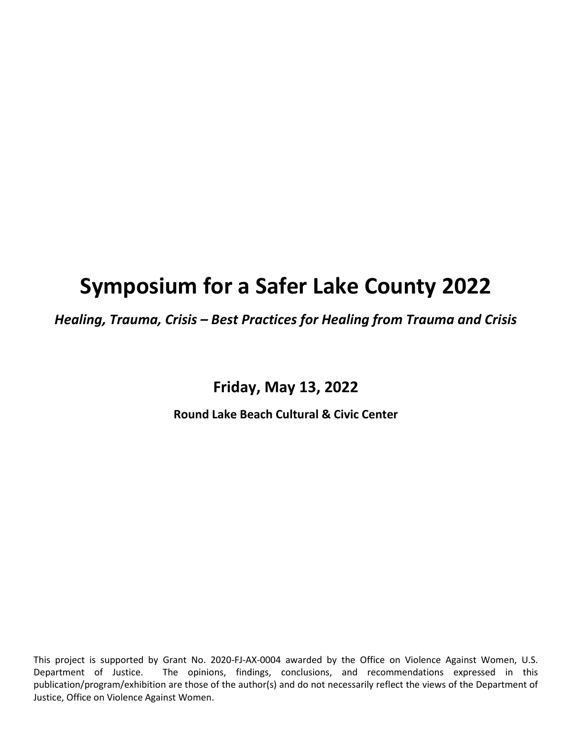# **Symposium for a Safer Lake County 2022**

*Healing, Trauma, Crisis – Best Practices for Healing from Trauma and Crisis*

**Friday, May 13, 2022**

**Round Lake Beach Cultural & Civic Center**

This project is supported by Grant No. 2020-FJ-AX-0004 awarded by the Office on Violence Against Women, U.S. Department of Justice. The opinions, findings, conclusions, and recommendations expressed in this publication/program/exhibition are those of the author(s) and do not necessarily reflect the views of the Department of Justice, Office on Violence Against Women.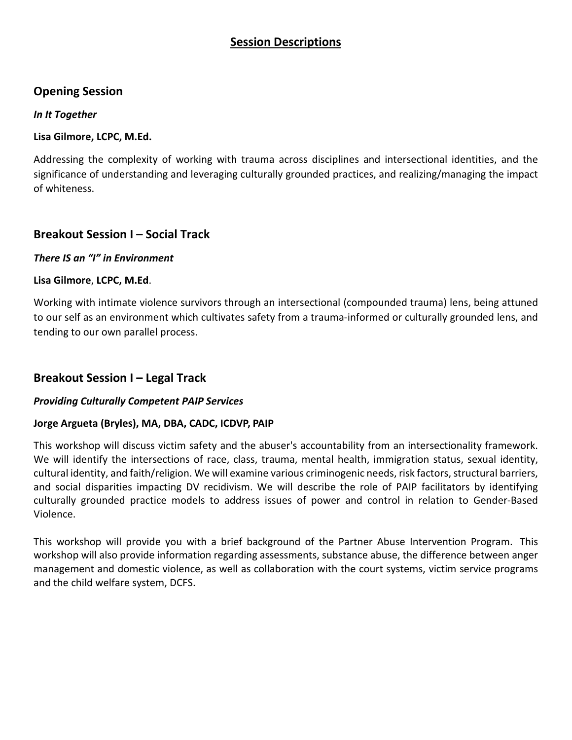## **Session Descriptions**

## **Opening Session**

#### *In It Together*

#### **Lisa Gilmore, LCPC, M.Ed.**

Addressing the complexity of working with trauma across disciplines and intersectional identities, and the significance of understanding and leveraging culturally grounded practices, and realizing/managing the impact of whiteness.

## **Breakout Session I – Social Track**

#### *There IS an "I" in Environment*

#### **Lisa Gilmore**, **LCPC, M.Ed**.

Working with intimate violence survivors through an intersectional (compounded trauma) lens, being attuned to our self as an environment which cultivates safety from a trauma-informed or culturally grounded lens, and tending to our own parallel process.

## **Breakout Session I – Legal Track**

#### *Providing Culturally Competent PAIP Services*

#### **Jorge Argueta (Bryles), MA, DBA, CADC, ICDVP, PAIP**

This workshop will discuss victim safety and the abuser's accountability from an intersectionality framework. We will identify the intersections of race, class, trauma, mental health, immigration status, sexual identity, cultural identity, and faith/religion. We will examine various criminogenic needs, risk factors, structural barriers, and social disparities impacting DV recidivism. We will describe the role of PAIP facilitators by identifying culturally grounded practice models to address issues of power and control in relation to Gender-Based Violence.

This workshop will provide you with a brief background of the Partner Abuse Intervention Program. This workshop will also provide information regarding assessments, substance abuse, the difference between anger management and domestic violence, as well as collaboration with the court systems, victim service programs and the child welfare system, DCFS.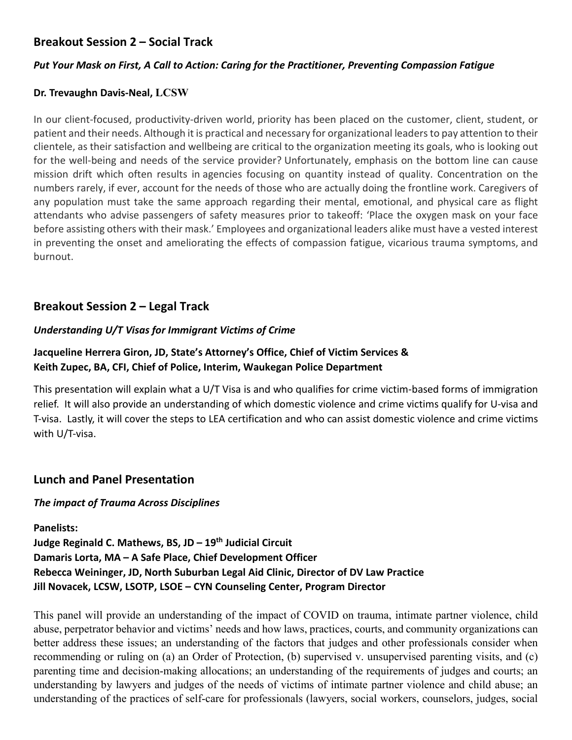# **Breakout Session 2 – Social Track**

#### *Put Your Mask on First, A Call to Action: Caring for the Practitioner, Preventing Compassion Fatigue*

#### **Dr. Trevaughn Davis-Neal, LCSW**

In our client-focused, productivity-driven world, priority has been placed on the customer, client, student, or patient and their needs. Although it is practical and necessary for organizational leaders to pay attention to their clientele, as their satisfaction and wellbeing are critical to the organization meeting its goals, who is looking out for the well-being and needs of the service provider? Unfortunately, emphasis on the bottom line can cause mission drift which often results in agencies focusing on quantity instead of quality. Concentration on the numbers rarely, if ever, account for the needs of those who are actually doing the frontline work. Caregivers of any population must take the same approach regarding their mental, emotional, and physical care as flight attendants who advise passengers of safety measures prior to takeoff: 'Place the oxygen mask on your face before assisting others with their mask.' Employees and organizational leaders alike must have a vested interest in preventing the onset and ameliorating the effects of compassion fatigue, vicarious trauma symptoms, and burnout.

## **Breakout Session 2 – Legal Track**

#### *Understanding U/T Visas for Immigrant Victims of Crime*

### **Jacqueline Herrera Giron, JD, State's Attorney's Office, Chief of Victim Services & Keith Zupec, BA, CFI, Chief of Police, Interim, Waukegan Police Department**

This presentation will explain what a U/T Visa is and who qualifies for crime victim-based forms of immigration relief. It will also provide an understanding of which domestic violence and crime victims qualify for U-visa and T-visa. Lastly, it will cover the steps to LEA certification and who can assist domestic violence and crime victims with U/T-visa.

#### **Lunch and Panel Presentation**

#### *The impact of Trauma Across Disciplines*

**Panelists: Judge Reginald C. Mathews, BS, JD – 19th Judicial Circuit Damaris Lorta, MA – A Safe Place, Chief Development Officer Rebecca Weininger, JD, North Suburban Legal Aid Clinic, Director of DV Law Practice Jill Novacek, LCSW, LSOTP, LSOE – CYN Counseling Center, Program Director**

This panel will provide an understanding of the impact of COVID on trauma, intimate partner violence, child abuse, perpetrator behavior and victims' needs and how laws, practices, courts, and community organizations can better address these issues; an understanding of the factors that judges and other professionals consider when recommending or ruling on (a) an Order of Protection, (b) supervised v. unsupervised parenting visits, and (c) parenting time and decision-making allocations; an understanding of the requirements of judges and courts; an understanding by lawyers and judges of the needs of victims of intimate partner violence and child abuse; an understanding of the practices of self-care for professionals (lawyers, social workers, counselors, judges, social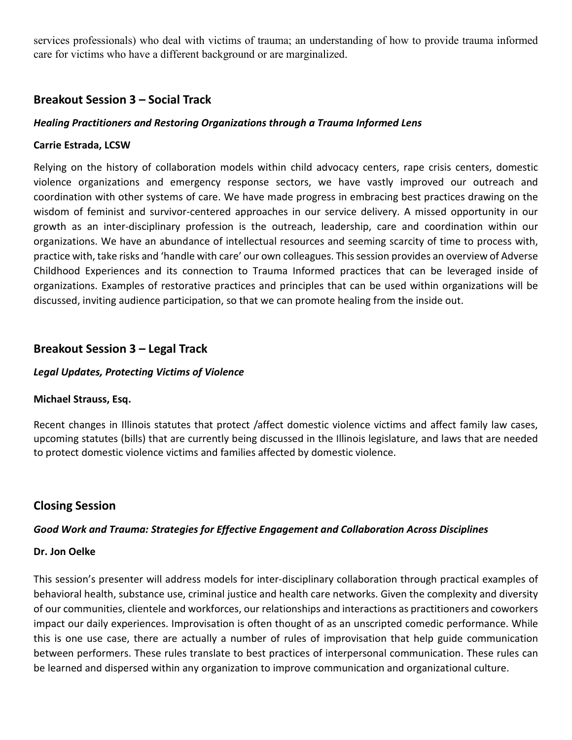services professionals) who deal with victims of trauma; an understanding of how to provide trauma informed care for victims who have a different background or are marginalized.

## **Breakout Session 3 – Social Track**

#### *Healing Practitioners and Restoring Organizations through a Trauma Informed Lens*

#### **Carrie Estrada, LCSW**

Relying on the history of collaboration models within child advocacy centers, rape crisis centers, domestic violence organizations and emergency response sectors, we have vastly improved our outreach and coordination with other systems of care. We have made progress in embracing best practices drawing on the wisdom of feminist and survivor-centered approaches in our service delivery. A missed opportunity in our growth as an inter-disciplinary profession is the outreach, leadership, care and coordination within our organizations. We have an abundance of intellectual resources and seeming scarcity of time to process with, practice with, take risks and 'handle with care' our own colleagues. This session provides an overview of Adverse Childhood Experiences and its connection to Trauma Informed practices that can be leveraged inside of organizations. Examples of restorative practices and principles that can be used within organizations will be discussed, inviting audience participation, so that we can promote healing from the inside out.

## **Breakout Session 3 – Legal Track**

#### *Legal Updates, Protecting Victims of Violence*

#### **Michael Strauss, Esq.**

Recent changes in Illinois statutes that protect /affect domestic violence victims and affect family law cases, upcoming statutes (bills) that are currently being discussed in the Illinois legislature, and laws that are needed to protect domestic violence victims and families affected by domestic violence.

## **Closing Session**

#### *Good Work and Trauma: Strategies for Effective Engagement and Collaboration Across Disciplines*

#### **Dr. Jon Oelke**

This session's presenter will address models for inter-disciplinary collaboration through practical examples of behavioral health, substance use, criminal justice and health care networks. Given the complexity and diversity of our communities, clientele and workforces, our relationships and interactions as practitioners and coworkers impact our daily experiences. Improvisation is often thought of as an unscripted comedic performance. While this is one use case, there are actually a number of rules of improvisation that help guide communication between performers. These rules translate to best practices of interpersonal communication. These rules can be learned and dispersed within any organization to improve communication and organizational culture.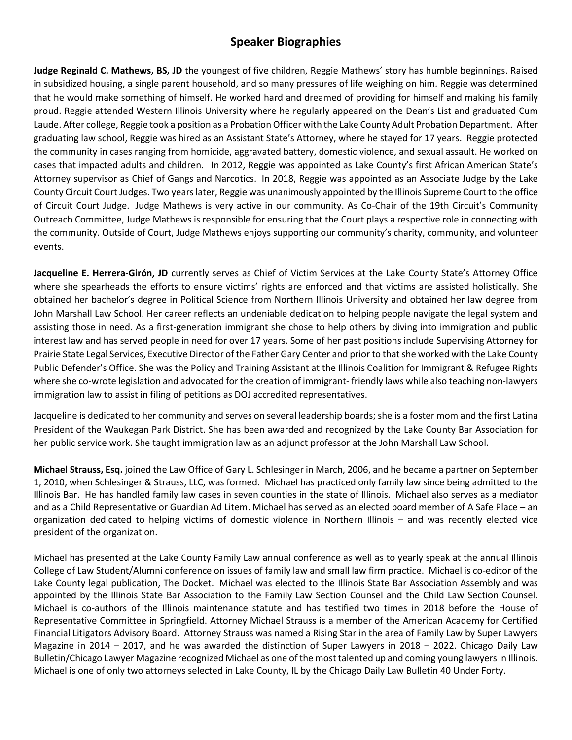# **Speaker Biographies**

**Judge Reginald C. Mathews, BS, JD** the youngest of five children, Reggie Mathews' story has humble beginnings. Raised in subsidized housing, a single parent household, and so many pressures of life weighing on him. Reggie was determined that he would make something of himself. He worked hard and dreamed of providing for himself and making his family proud. Reggie attended Western Illinois University where he regularly appeared on the Dean's List and graduated Cum Laude. After college, Reggie took a position as a Probation Officer with the Lake County Adult Probation Department. After graduating law school, Reggie was hired as an Assistant State's Attorney, where he stayed for 17 years. Reggie protected the community in cases ranging from homicide, aggravated battery, domestic violence, and sexual assault. He worked on cases that impacted adults and children. In 2012, Reggie was appointed as Lake County's first African American State's Attorney supervisor as Chief of Gangs and Narcotics. In 2018, Reggie was appointed as an Associate Judge by the Lake County Circuit Court Judges. Two years later, Reggie was unanimously appointed by the Illinois Supreme Court to the office of Circuit Court Judge. Judge Mathews is very active in our community. As Co-Chair of the 19th Circuit's Community Outreach Committee, Judge Mathews is responsible for ensuring that the Court plays a respective role in connecting with the community. Outside of Court, Judge Mathews enjoys supporting our community's charity, community, and volunteer events.

**Jacqueline E. Herrera-Girón, JD** currently serves as Chief of Victim Services at the Lake County State's Attorney Office where she spearheads the efforts to ensure victims' rights are enforced and that victims are assisted holistically. She obtained her bachelor's degree in Political Science from Northern Illinois University and obtained her law degree from John Marshall Law School. Her career reflects an undeniable dedication to helping people navigate the legal system and assisting those in need. As a first-generation immigrant she chose to help others by diving into immigration and public interest law and has served people in need for over 17 years. Some of her past positions include Supervising Attorney for Prairie State Legal Services, Executive Director of the Father Gary Center and prior to that she worked with the Lake County Public Defender's Office. She was the Policy and Training Assistant at the Illinois Coalition for Immigrant & Refugee Rights where she co-wrote legislation and advocated for the creation of immigrant- friendly laws while also teaching non-lawyers immigration law to assist in filing of petitions as DOJ accredited representatives.

Jacqueline is dedicated to her community and serves on several leadership boards; she is a foster mom and the first Latina President of the Waukegan Park District. She has been awarded and recognized by the Lake County Bar Association for her public service work. She taught immigration law as an adjunct professor at the John Marshall Law School.

**Michael Strauss, Esq.** joined the Law Office of Gary L. Schlesinger in March, 2006, and he became a partner on September 1, 2010, when Schlesinger & Strauss, LLC, was formed. Michael has practiced only family law since being admitted to the Illinois Bar. He has handled family law cases in seven counties in the state of Illinois. Michael also serves as a mediator and as a Child Representative or Guardian Ad Litem. Michael has served as an elected board member of A Safe Place – an organization dedicated to helping victims of domestic violence in Northern Illinois – and was recently elected vice president of the organization.

Michael has presented at the Lake County Family Law annual conference as well as to yearly speak at the annual Illinois College of Law Student/Alumni conference on issues of family law and small law firm practice. Michael is co-editor of the Lake County legal publication, The Docket. Michael was elected to the Illinois State Bar Association Assembly and was appointed by the Illinois State Bar Association to the Family Law Section Counsel and the Child Law Section Counsel. Michael is co-authors of the Illinois maintenance statute and has testified two times in 2018 before the House of Representative Committee in Springfield. Attorney Michael Strauss is a member of the American Academy for Certified Financial Litigators Advisory Board. Attorney Strauss was named a Rising Star in the area of Family Law by Super Lawyers Magazine in 2014 – 2017, and he was awarded the distinction of Super Lawyers in 2018 – 2022. Chicago Daily Law Bulletin/Chicago Lawyer Magazine recognized Michael as one of the most talented up and coming young lawyers in Illinois. Michael is one of only two attorneys selected in Lake County, IL by the Chicago Daily Law Bulletin 40 Under Forty.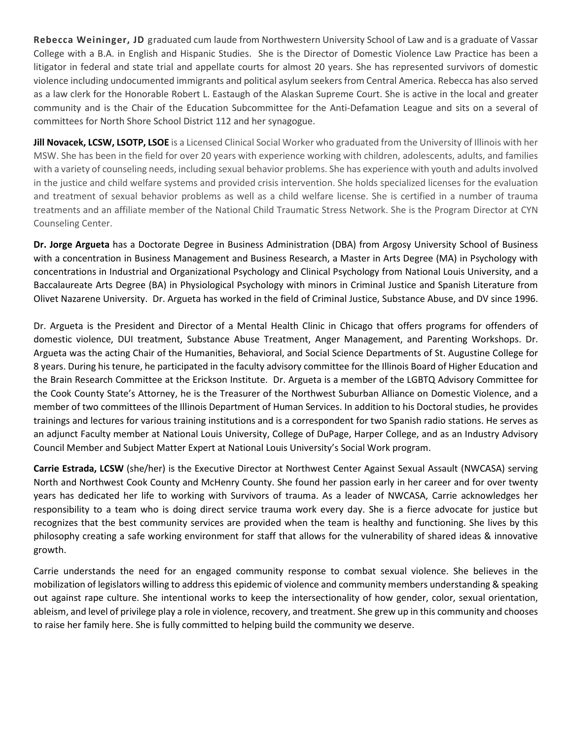**Rebecca Weininger, JD** graduated cum laude from Northwestern University School of Law and is a graduate of Vassar College with a B.A. in English and Hispanic Studies. She is the Director of Domestic Violence Law Practice has been a litigator in federal and state trial and appellate courts for almost 20 years. She has represented survivors of domestic violence including undocumented immigrants and political asylum seekers from Central America. Rebecca has also served as a law clerk for the Honorable Robert L. Eastaugh of the Alaskan Supreme Court. She is active in the local and greater community and is the Chair of the Education Subcommittee for the Anti-Defamation League and sits on a several of committees for North Shore School District 112 and her synagogue.

**Jill Novacek, LCSW, LSOTP, LSOE** is a Licensed Clinical Social Worker who graduated from the University of Illinois with her MSW. She has been in the field for over 20 years with experience working with children, adolescents, adults, and families with a variety of counseling needs, including sexual behavior problems. She has experience with youth and adults involved in the justice and child welfare systems and provided crisis intervention. She holds specialized licenses for the evaluation and treatment of sexual behavior problems as well as a child welfare license. She is certified in a number of trauma treatments and an affiliate member of the National Child Traumatic Stress Network. She is the Program Director at CYN Counseling Center.

**Dr. Jorge Argueta** has a Doctorate Degree in Business Administration (DBA) from Argosy University School of Business with a concentration in Business Management and Business Research, a Master in Arts Degree (MA) in Psychology with concentrations in Industrial and Organizational Psychology and Clinical Psychology from National Louis University, and a Baccalaureate Arts Degree (BA) in Physiological Psychology with minors in Criminal Justice and Spanish Literature from Olivet Nazarene University. Dr. Argueta has worked in the field of Criminal Justice, Substance Abuse, and DV since 1996.

Dr. Argueta is the President and Director of a Mental Health Clinic in Chicago that offers programs for offenders of domestic violence, DUI treatment, Substance Abuse Treatment, Anger Management, and Parenting Workshops. Dr. Argueta was the acting Chair of the Humanities, Behavioral, and Social Science Departments of St. Augustine College for 8 years. During his tenure, he participated in the faculty advisory committee for the Illinois Board of Higher Education and the Brain Research Committee at the Erickson Institute. Dr. Argueta is a member of the LGBTQ Advisory Committee for the Cook County State's Attorney, he is the Treasurer of the Northwest Suburban Alliance on Domestic Violence, and a member of two committees of the Illinois Department of Human Services. In addition to his Doctoral studies, he provides trainings and lectures for various training institutions and is a correspondent for two Spanish radio stations. He serves as an adjunct Faculty member at National Louis University, College of DuPage, Harper College, and as an Industry Advisory Council Member and Subject Matter Expert at National Louis University's Social Work program.

**Carrie Estrada, LCSW** (she/her) is the Executive Director at Northwest Center Against Sexual Assault (NWCASA) serving North and Northwest Cook County and McHenry County. She found her passion early in her career and for over twenty years has dedicated her life to working with Survivors of trauma. As a leader of NWCASA, Carrie acknowledges her responsibility to a team who is doing direct service trauma work every day. She is a fierce advocate for justice but recognizes that the best community services are provided when the team is healthy and functioning. She lives by this philosophy creating a safe working environment for staff that allows for the vulnerability of shared ideas & innovative growth.

Carrie understands the need for an engaged community response to combat sexual violence. She believes in the mobilization of legislators willing to address this epidemic of violence and community members understanding & speaking out against rape culture. She intentional works to keep the intersectionality of how gender, color, sexual orientation, ableism, and level of privilege play a role in violence, recovery, and treatment. She grew up in this community and chooses to raise her family here. She is fully committed to helping build the community we deserve.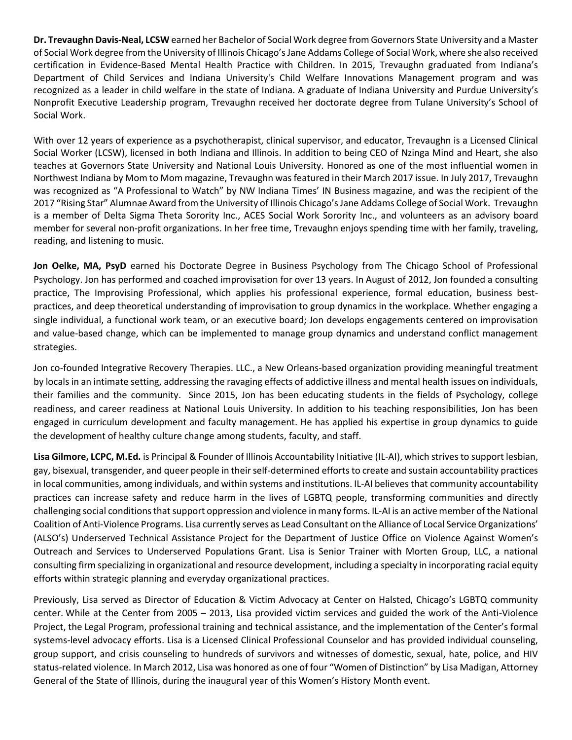**Dr. Trevaughn Davis-Neal, LCSW** earned her Bachelor of Social Work degree from Governors State University and a Master of Social Work degree from the University of Illinois Chicago'sJane Addams College of Social Work, where she also received certification in Evidence-Based Mental Health Practice with Children. In 2015, Trevaughn graduated from Indiana's Department of Child Services and Indiana University's Child Welfare Innovations Management program and was recognized as a leader in child welfare in the state of Indiana. A graduate of Indiana University and Purdue University's Nonprofit Executive Leadership program, Trevaughn received her doctorate degree from Tulane University's School of Social Work.

With over 12 years of experience as a psychotherapist, clinical supervisor, and educator, Trevaughn is a Licensed Clinical Social Worker (LCSW), licensed in both Indiana and Illinois. In addition to being CEO of Nzinga Mind and Heart, she also teaches at Governors State University and National Louis University. Honored as one of the most influential women in Northwest Indiana by Mom to Mom magazine, Trevaughn was featured in their March 2017 issue. In July 2017, Trevaughn was recognized as "A Professional to Watch" by NW Indiana Times' IN Business magazine, and was the recipient of the 2017 "Rising Star" Alumnae Award from the University of Illinois Chicago'sJane Addams College of Social Work. Trevaughn is a member of Delta Sigma Theta Sorority Inc., ACES Social Work Sorority Inc., and volunteers as an advisory board member for several non-profit organizations. In her free time, Trevaughn enjoys spending time with her family, traveling, reading, and listening to music.

**Jon Oelke, MA, PsyD** earned his Doctorate Degree in Business Psychology from The Chicago School of Professional Psychology. Jon has performed and coached improvisation for over 13 years. In August of 2012, Jon founded a consulting practice, The Improvising Professional, which applies his professional experience, formal education, business bestpractices, and deep theoretical understanding of improvisation to group dynamics in the workplace. Whether engaging a single individual, a functional work team, or an executive board; Jon develops engagements centered on improvisation and value-based change, which can be implemented to manage group dynamics and understand conflict management strategies.

Jon co-founded Integrative Recovery Therapies. LLC., a New Orleans-based organization providing meaningful treatment by locals in an intimate setting, addressing the ravaging effects of addictive illness and mental health issues on individuals, their families and the community. Since 2015, Jon has been educating students in the fields of Psychology, college readiness, and career readiness at National Louis University. In addition to his teaching responsibilities, Jon has been engaged in curriculum development and faculty management. He has applied his expertise in group dynamics to guide the development of healthy culture change among students, faculty, and staff.

**Lisa Gilmore, LCPC, M.Ed.** is Principal & Founder of Illinois Accountability Initiative (IL-AI), which strives to support lesbian, gay, bisexual, transgender, and queer people in their self-determined efforts to create and sustain accountability practices in local communities, among individuals, and within systems and institutions. IL-AI believes that community accountability practices can increase safety and reduce harm in the lives of LGBTQ people, transforming communities and directly challenging social conditions that support oppression and violence in many forms. IL-AI is an active member of the National Coalition of Anti-Violence Programs. Lisa currently serves as Lead Consultant on the Alliance of Local Service Organizations' (ALSO's) Underserved Technical Assistance Project for the Department of Justice Office on Violence Against Women's Outreach and Services to Underserved Populations Grant. Lisa is Senior Trainer with Morten Group, LLC, a national consulting firm specializing in organizational and resource development, including a specialty in incorporating racial equity efforts within strategic planning and everyday organizational practices.

Previously, Lisa served as Director of Education & Victim Advocacy at Center on Halsted, Chicago's LGBTQ community center. While at the Center from 2005 – 2013, Lisa provided victim services and guided the work of the Anti-Violence Project, the Legal Program, professional training and technical assistance, and the implementation of the Center's formal systems-level advocacy efforts. Lisa is a Licensed Clinical Professional Counselor and has provided individual counseling, group support, and crisis counseling to hundreds of survivors and witnesses of domestic, sexual, hate, police, and HIV status-related violence. In March 2012, Lisa was honored as one of four "Women of Distinction" by Lisa Madigan, Attorney General of the State of Illinois, during the inaugural year of this Women's History Month event.